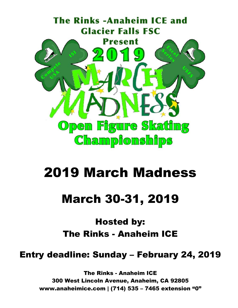

# 2019 March Madness

## March 30-31, 2019

### Hosted by: The Rinks - Anaheim ICE

Entry deadline: Sunday – February 24, 2019

The Rinks - Anaheim ICE 300 West Lincoln Avenue, Anaheim, CA 92805 www.anaheimice.com | (714) 535 – 7465 extension "0"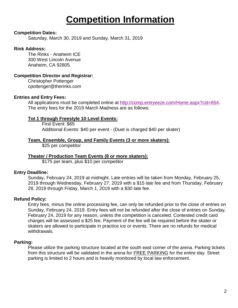### **Competition Information**

#### **Competition Dates:**

Saturday, March 30, 2019 and Sunday, March 31, 2019

#### **Rink Address:**

The Rinks - Anaheim ICE 300 West Lincoln Avenue Anaheim, CA 92805

#### **Competition Director and Registrar:**

Christopher Pottenger cpottenger@therinks.com

#### **Entries and Entry Fees:**

All applications must be completed online at [http://comp.entryeeze.com/Home.aspx?cid=654.](http://comp.entryeeze.com/Home.aspx?cid=654) The entry fees for the 2019 March Madness are as follows:

#### **Tot 1 through Freestyle 10 Level Events:**

First Event: \$65 Additional Events: \$40 per event - (Duet is charged \$40 per skater)

#### **Team, Ensemble, Group, and Family Events (3 or more skaters):**

\$25 per competitor

#### **Theater / Production Team Events (8 or more skaters):**

\$175 per team, plus \$10 per competitor

#### **Entry Deadline:**

Sunday, February 24, 2019 at midnight. Late entries will be taken from Monday, February 25, 2019 through Wednesday, February 27, 2019 with a \$15 late fee and from Thursday, February 28, 2019 through Friday, March 1, 2019 with a \$30 late fee.

#### **Refund Policy:**

Entry fees, minus the online processing fee, can only be refunded prior to the close of entries on Sunday, February 24, 2019. Entry fees will not be refunded after the close of entries on Sunday, February 24, 2019 for any reason, unless the competition is canceled. Contested credit card charges will be assessed a \$25 fee. Payment of the fee will be required before the skater or skaters are allowed to participate in practice ice or events. There are no refunds for medical withdrawals.

#### **Parking:**

Please utilize the parking structure located at the south east corner of the arena. Parking tickets from this structure will be validated in the arena for FREE PARKING for the entire day. Street parking is limited to 2 hours and is heavily monitored by local law enforcement.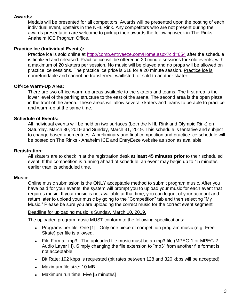#### **Awards:**

Medals will be presented for all competitors. Awards will be presented upon the posting of each individual event, upstairs in the NHL Rink. Any competitors who are not present during the awards presentation are welcome to pick up their awards the following week in The Rinks - Anaheim ICE Program Office.

#### **Practice Ice (Individual Events):**

Practice ice is sold online at<http://comp.entryeeze.com/Home.aspx?cid=654> after the schedule is finalized and released. Practice ice will be offered in 20 minute sessions for solo events, with a maximum of 20 skaters per session. No music will be played and no props will be allowed on practice ice sessions. The practice ice price is \$18 for a 20 minute session. Practice ice is nonrefundable and cannot be transferred, waitlisted, or sold to another skater.

#### **Off-Ice Warm-Up Area:**

There are two off-ice warm-up areas available to the skaters and teams. The first area is the lower level of the parking structure to the east of the arena. The second area is the open plaza in the front of the arena. These areas will allow several skaters and teams to be able to practice and warm-up at the same time.

#### **Schedule of Events:**

All individual events will be held on two surfaces (both the NHL Rink and Olympic Rink) on Saturday, March 30, 2019 and Sunday, March 31, 2019. This schedule is tentative and subject to change based upon entries. A preliminary and final competition and practice ice schedule will be posted on The Rinks - Anaheim ICE and EntryEeze website as soon as available.

#### **Registration:**

All skaters are to check in at the registration desk **at least 45 minutes prior** to their scheduled event. If the competition is running ahead of schedule, an event may begin up to 15 minutes earlier than its scheduled time.

#### **Music:**

Online music submission is the ONLY acceptable method to submit program music. After you have paid for your events, the system will prompt you to upload your music for each event that requires music. If your music is not available at that time, you can logout of your account and return later to upload your music by going to the "Competition" tab and then selecting "My Music." Please be sure you are uploading the correct music for the correct event segment.

#### Deadline for uploading music is Sunday, March 10, 2019.

The uploaded program music MUST conform to the following specifications:

- Programs per file: One [1] Only one piece of competition program music (e.g. Free Skate) per file is allowed.
- File Format: mp3 The uploaded file music must be an mp3 file (MPEG-1 or MPEG-2 Audio Layer III). Simply changing the file extension to "mp3" from another file format is not acceptable.
- Bit Rate: 192 kbps is requested (bit rates between 128 and 320 kbps will be accepted).
- Maximum file size: 10 MB
- Maximum run time: Five [5 minutes]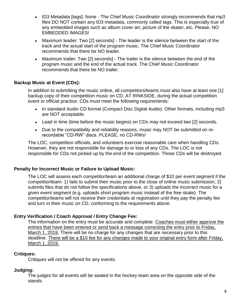- ID3 Metadata [tags]: None The Chief Music Coordinator strongly recommends that mp3 files DO NOT contain any ID3 metadata, commonly called tags. This is especially true of any embedded images such as album cover art, picture of the skater, etc. Please, NO EMBEDDED IMAGES!
- Maximum leader: Two [2] seconds] The leader is the silence between the start of the track and the actual start of the program music. The Chief Music Coordinator recommends that there be NO leader.
- Maximum trailer: Two [2] seconds] The trailer is the silence between the end of the program music and the end of the actual track. The Chief Music Coordinator recommends that there be NO trailer.

#### **Backup Music at Event (CDs):**

In addition to submitting the music online, all competitors/teams must also have at least one [1] backup copy of their competition music on CD, AT RINKSIDE, during the actual competition event or official practice. CDs must meet the following requirements:

- In standard Audio CD format (Compact Disc Digital Audio). Other formats, including mp3 are NOT acceptable.
- Lead in time (time before the music begins) on CDs may not exceed two [2] seconds.
- Due to the compatibility and reliability reasons, music may NOT be submitted on rerecordable "CD-RW" discs. PLEASE, no CD-RWs!

The LOC, competition officials, and volunteers exercise reasonable care when handling CDs. However, they are not responsible for damage to or loss of any CDs. The LOC is not responsible for CDs not picked up by the end of the competition. Those CDs will be destroyed.

#### **Penalty for Incorrect Music or Failure to Upload Music:**

The LOC will assess each competitor/team an additional charge of \$10 per event segment if the competitor/team: 1) fails to submit their music prior to the close of online music submission, 2) submits files that do not follow the specifications above, or 3) uploads the incorrect music for a given event segment (e.g. uploads short program music instead of the free skate). The competitor/teams will not receive their credentials at registration until they pay the penalty fee and turn in their music on CD, conforming to the requirements above.

#### **Entry Verification / Coach Approval / Entry Change Fee:**

The information on the entry must be accurate and complete. Coaches must either approve the entries that have been entered or send back a message correcting the entry prior to Friday, March 1, 2019. There will be no charge for any changes that are necessary prior to this deadline. There will be a \$10 fee for any changes made to your original entry form after Friday, March 1, 2019.

#### **Critiques:**

Critiques will not be offered for any events.

#### **Judging:**

The judges for all events will be seated in the hockey team area on the opposite side of the stands.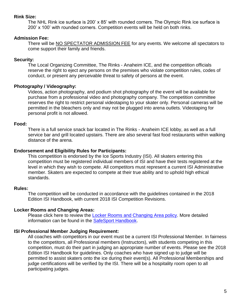#### **Rink Size:**

The NHL Rink ice surface is 200' x 85' with rounded corners. The Olympic Rink ice surface is 200' x 100' with rounded corners. Competition events will be held on both rinks.

#### **Admission Fee:**

There will be NO SPECTATOR ADMISSION FEE for any events. We welcome all spectators to come support their family and friends.

#### **Security:**

The Local Organizing Committee, The Rinks - Anaheim ICE, and the competition officials reserve the right to eject any persons on the premises who violate competition rules, codes of conduct, or present any perceivable threat to safety of persons at the event.

#### **Photography / Videography:**

Videos, action photography, and podium shot photography of the event will be available for purchase from a professional video and photography company. The competition committee reserves the right to restrict personal videotaping to your skater only. Personal cameras will be permitted in the bleachers only and may not be plugged into arena outlets. Videotaping for personal profit is not allowed.

#### **Food:**

There is a full service snack bar located in The Rinks - Anaheim ICE lobby, as well as a full service bar and grill located upstairs. There are also several fast food restaurants within walking distance of the arena.

#### **Endorsement and Eligibility Rules for Participants:**

This competition is endorsed by the Ice Sports Industry (ISI). All skaters entering this competition must be registered individual members of ISI and have their tests registered at the level in which they wish to compete. All competitors must represent a current ISI Administrative member. Skaters are expected to compete at their true ability and to uphold high ethical standards.

#### **Rules:**

The competition will be conducted in accordance with the guidelines contained in the 2018 Edition ISI Handbook, with current 2018 ISI Competition Revisions.

#### **Locker Rooms and Changing Areas:**

Please click here to review the [Locker Rooms and Changing Area policy.](http://www.usfigureskating.org/content/Locker%20Room%20and%20Changing%20Area.pdf) More detailed information can be found in the [SafeSport Handbook.](http://www.usfigureskating.org/content/safesport%20handbook.pdf)

#### **ISI Professional Member Judging Requirement:**

All coaches with competitors in our event must be a current ISI Professional Member. In fairness to the competitors, all Professional members (Instructors), with students competing in this competition, must do their part in judging an appropriate number of events. Please see the 2018 Edition ISI Handbook for guidelines. Only coaches who have signed up to judge will be permitted to assist skaters onto the ice during their event(s). All Professional Memberships and judge certifications will be verified by the ISI. There will be a hospitality room open to all participating judges.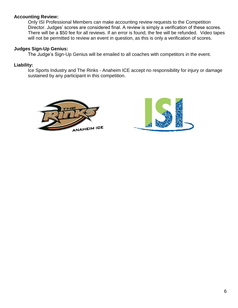#### **Accounting Review:**

Only ISI Professional Members can make accounting review requests to the Competition Director. Judges' scores are considered final. A review is simply a verification of these scores. There will be a \$50 fee for all reviews. If an error is found, the fee will be refunded. Video tapes will not be permitted to review an event in question, as this is only a verification of scores.

#### **Judges Sign-Up Genius:**

The Judge's Sign-Up Genius will be emailed to all coaches with competitors in the event.

#### **Liability:**

Ice Sports Industry and The Rinks - Anaheim ICE accept no responsibility for injury or damage sustained by any participant in this competition.



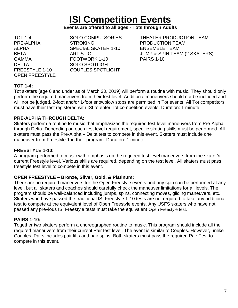## **ISI Competition Events**

#### **Events are offered to all ages - Tots through Adults**

DELTA SOLO SPOTLIGHT OPEN FREESTYLE

PRE-ALPHA STROKING PRODUCTION TEAM ALPHA SPECIAL SKATER 1-10 ENSEMBLE TEAM GAMMA FOOTWORK 1-10 PAIRS 1-10 FREESTYLE 1-10 COUPLES SPOTLIGHT

TOT 1-4 SOLO COMPULSORIES THEATER PRODUCTION TEAM BETA ARTISTIC ARTISTIC ARTISTIC ARTISTIC ARTISTIC ARTISTIC ARTISTIC ARTISTIC ARTISTIC ARTISTIC ARTISTIC ARTISTIC ARTISTIC ARTISTIC ARTISTIC ARTISTIC ARTISTIC ARTISTIC ARTISTIC ARTISTIC ARTISTIC ARTISTIC ARTISTIC ARTISTIC A

#### **TOT 1-4:**

Tot skaters (age 6 and under as of March 30, 2019) will perform a routine with music. They should only perform the required maneuvers from their test level. Additional maneuvers should not be included and will not be judged. 2-foot and/or 1-foot snowplow stops are permitted in Tot events. All Tot competitors must have their test registered with ISI to enter Tot competition events. Duration: 1 minute

#### **PRE-ALPHA THROUGH DELTA:**

Skaters perform a routine to music that emphasizes the required test level maneuvers from Pre-Alpha through Delta. Depending on each test level requirement, specific skating skills must be performed. All skaters must pass the Pre-Alpha – Delta test to compete in this event. Skaters must include one maneuver from Freestyle 1 in their program. Duration: 1 minute

#### **FREESTYLE 1-10:**

A program performed to music with emphasis on the required test level maneuvers from the skater's current Freestyle level. Various skills are required, depending on the test level. All skaters must pass freestyle test level to compete in this event.

#### **OPEN FREESTYLE – Bronze, Silver, Gold, & Platinum:**

There are no required maneuvers for the Open Freestyle events and any spin can be performed at any level, but all skaters and coaches should carefully check the maneuver limitations for all levels. The program should be well-balanced including jumps, spins, connecting moves, gliding maneuvers, etc. Skaters who have passed the traditional ISI Freestyle 1-10 tests are not required to take any additional test to compete at the equivalent level of Open Freestyle events. Any USFS skaters who have not passed any previous ISI Freestyle tests must take the equivalent Open Freestyle test.

#### **PAIRS 1-10:**

Together two skaters perform a choreographed routine to music. This program should include all the required maneuvers from their current Pair test level. The event is similar to Couples. However, unlike Couples, Pairs includes pair lifts and pair spins. Both skaters must pass the required Pair Test to compete in this event.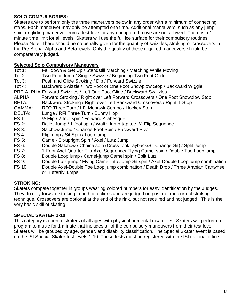#### **SOLO COMPULSORIES:**

Skaters are to perform only the three maneuvers below in any order with a minimum of connecting steps. Each maneuver may only be attempted one time. Additional maneuvers, such as any jump, spin, or gliding maneuver from a test level or any uncaptured move are not allowed. There is a 1 minute time limit for all levels. Skaters will use the full ice surface for their compulsory routines. Please Note: There should be no penalty given for the quantity of swizzles, stroking or crossovers in the Pre-Alpha, Alpha and Beta levels. Only the quality of these required maneuvers should be comparatively judged.

#### **Selected Solo Compulsory Maneuvers**

- Tot 1: Fall down & Get Up / Standstill Marching / Marching While Moving
- Tot 2: Two Foot Jump / Single Swizzle / Beginning Two Foot Glide
- Tot 3: Push and Glide Stroking / Dip / Forward Swizzle
- Tot 4: Backward Swizzle / Two Foot or One Foot Snowplow Stop / Backward Wiggle
- PRE-ALPHA:Forward Swizzles / Left One Foot Glide / Backward Swizzles
- ALPHA: Forward Stroking / Right over Left Forward Crossovers / One Foot Snowplow Stop
- BETA: Backward Stroking / Right over Left Backward Crossovers / Right T-Stop
- GAMMA: RFO Three Turn / LFI Mohawk Combo / Hockey Stop
- DELTA: Lunge / RFI Three Turn / Bunny Hop
- FS 1: ½ Flip / 2-foot spin / Forward Arabesque
- FS 2: Ballet Jump / 1-foot spin / Waltz Jump-tap toe- ½ Flip Sequence
- FS 3: Salchow Jump / Change Foot Spin / Backward Pivot
- FS 4: Flip jump / Sit Spin / Loop jump
- FS 5: Camel- Sit-upright Spin / Axel / Lutz Jump
- FS 6: Double Salchow / Choice spin (Cross-foot/Layback/Sit-Change-Sit) / Split Jump
- FS 7: 1-Foot Axel-Quarter Flip-Axel Sequence/ Flying Camel spin / Double Toe Loop jump
- FS 8: Double Loop jump / Camel-jump Camel spin / Split Lutz
- FS 9: Double Lutz jump / Flying Camel into Jump Sit spin / Axel-Double Loop jump combination
- FS 10: Double Axel-Double Toe Loop jump combination / Death Drop / Three Arabian Cartwheel or Butterfly jumps

#### **STROKING:**

Skaters compete together in groups wearing colored numbers for easy identification by the Judges. They do only forward stroking in both directions and are judged on posture and correct stroking technique. Crossovers are optional at the end of the rink, but not required and not judged. This is the very basic skill of skating.

#### **SPECIAL SKATER 1-10:**

This category is open to skaters of all ages with physical or mental disabilities. Skaters will perform a program to music for 1 minute that includes all of the compulsory maneuvers from their test level. Skaters will be grouped by age, gender, and disability classification. The Special Skater event is based on the ISI Special Skater test levels 1-10. These tests must be registered with the ISI national office.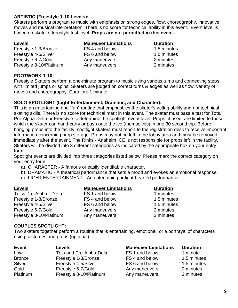#### **ARTISTIC (Freestyle 1-10 Levels):**

Skaters perform a program to music with emphasis on strong edges, flow, choreography, innovative moves and musical interpretation. There is no score for technical ability in this event. Event level is based on skater's freestyle test level. **Props are not permitted in this event.**

| <b>Levels</b>           | <b>Maneuver Limitations</b> | <b>Duration</b> |
|-------------------------|-----------------------------|-----------------|
| Freestyle 1-3/Bronze    | FS 4 and below              | 1.5 minutes     |
| Freestyle 4-5/Silver    | FS 6 and below              | 1.5 minutes     |
| Freestyle 6-7/Gold      | Any maneuvers               | 2 minutes       |
| Freestyle 8-10/Platinum | Any maneuvers               | 2 minutes       |

#### **FOOTWORK 1-10:**

Freestyle Skaters perform a one-minute program to music using various turns and connecting steps with limited jumps or spins. Skaters are judged on correct turns & edges as well as flow, variety of moves and choreography. Duration: 1 minute

#### **SOLO SPOTLIGHT (Light Entertainment, Dramatic, and Character):**

This is an entertaining and "fun" routine that emphasizes the skater's acting ability and not technical skating skills. There is no score for technical merit in this event. The skater must pass a test for Tots, Pre-Alpha-Delta or Freestyle to determine the spotlight event level. Props, if used, are limited to those which the skater can hand-carry or push onto the ice (themselves) in one 30 second trip. Before bringing props into the facility, spotlight skaters must report to the registration desk to receive important information concerning prop storage. Props may not be left in the lobby area and must be removed immediately after the event. The Rinks - Anaheim ICE is not responsible for props left in the facility. Skaters will be divided into 3 different categories as indicated by the appropriate box on your entry form.

Spotlight events are divided into three categories listed below. Please mark the correct category on your entry form.

- a) CHARACTER A famous or easily identifiable character.
- b) DRAMATIC A theatrical performance that sets a mood and evokes an emotional response.
- c) LIGHT ENTERTAINMENT An entertaining or light-hearted performance.

| <b>Levels</b>           | <b>Maneuver Limitations</b> | <b>Duration</b> |
|-------------------------|-----------------------------|-----------------|
| Tot & Pre-Alpha - Delta | FS 1 and below              | 1 minutes       |
| Freestyle 1-3/Bronze    | FS 4 and below              | 1.5 minutes     |
| Freestyle 4-5/Silver    | FS 6 and below              | 1.5 minutes     |
| Freestyle 6-7/Gold      | Any maneuvers               | 2 minutes       |
| Freestyle 8-10/Platinum | Any maneuvers               | 2 minutes       |

#### **COUPLES SPOTLIGHT:**

Two skaters together perform a routine that is entertaining, emotional, or a portrayal of characters using costumes and props (optional).

| <b>Event</b>  | <b>Levels</b>            | <b>Maneuver Limitations</b> | <b>Duration</b> |
|---------------|--------------------------|-----------------------------|-----------------|
| Low           | Tots and Pre-Alpha-Delta | FS 1 and below              | 1 minute        |
| <b>Bronze</b> | Freestyle 1-3/Bronze     | FS 4 and below              | 1.5 minutes     |
| Silver        | Freestyle 4-5/Silver     | FS 6 and below              | 1.5 minutes     |
| Gold          | Freestyle 6-7/Gold       | Any maneuvers               | 2 minutes       |
| Platinum      | Freestyle 8-10/Platinum  | Any maneuvers               | 2 minutes       |